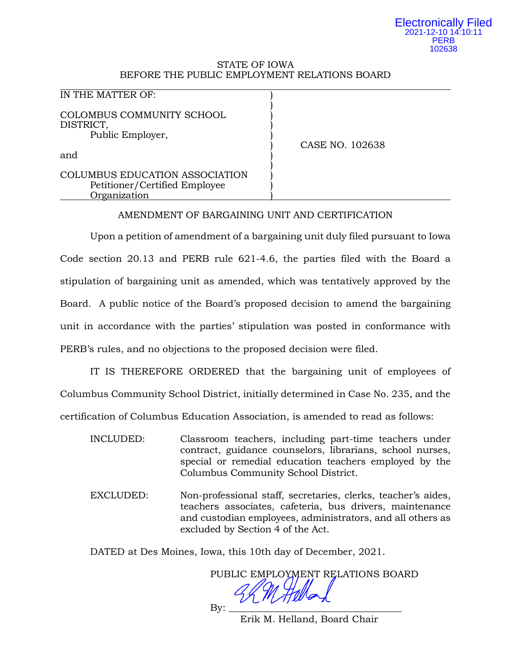#### Electronically Filed 2021-12-10 14:10:11 **PERB** 102638

## STATE OF IOWA BEFORE THE PUBLIC EMPLOYMENT RELATIONS BOARD

| IN THE MATTER OF:                                                               |                 |
|---------------------------------------------------------------------------------|-----------------|
| COLOMBUS COMMUNITY SCHOOL<br>DISTRICT,<br>Public Employer,                      | CASE NO. 102638 |
| and                                                                             |                 |
| COLUMBUS EDUCATION ASSOCIATION<br>Petitioner/Certified Employee<br>Organization |                 |

# AMENDMENT OF BARGAINING UNIT AND CERTIFICATION

Upon a petition of amendment of a bargaining unit duly filed pursuant to Iowa Code section 20.13 and PERB rule 621-4.6, the parties filed with the Board a stipulation of bargaining unit as amended, which was tentatively approved by the Board. A public notice of the Board's proposed decision to amend the bargaining unit in accordance with the parties' stipulation was posted in conformance with PERB's rules, and no objections to the proposed decision were filed.

IT IS THEREFORE ORDERED that the bargaining unit of employees of Columbus Community School District, initially determined in Case No. 235, and the certification of Columbus Education Association, is amended to read as follows:

- INCLUDED: Classroom teachers, including part-time teachers under contract, guidance counselors, librarians, school nurses, special or remedial education teachers employed by the Columbus Community School District.
- EXCLUDED: Non-professional staff, secretaries, clerks, teacher's aides, teachers associates, cafeteria, bus drivers, maintenance and custodian employees, administrators, and all others as excluded by Section 4 of the Act.

DATED at Des Moines, Iowa, this 10th day of December, 2021.

PUBLIC EMPLOYMENT RELATIONS BOARD

By: \_\_\_\_\_\_\_\_\_\_\_\_\_\_\_\_\_\_\_\_\_\_\_\_\_\_\_\_\_\_\_\_\_\_\_\_

Erik M. Helland, Board Chair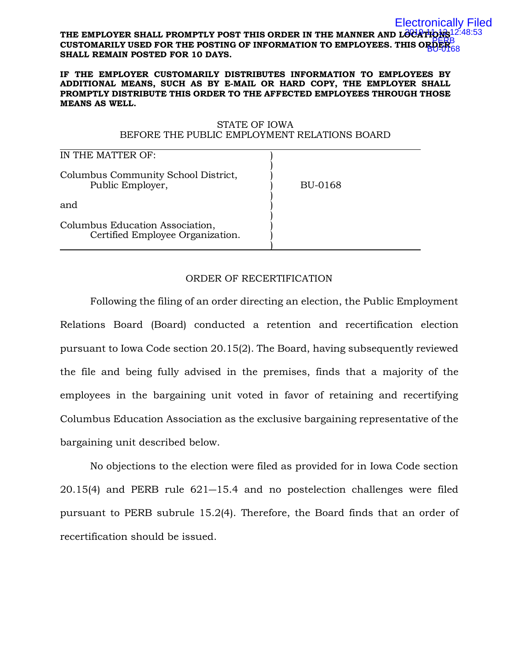#### THE EMPLOYER SHALL PROMPTLY POST THIS ORDER IN THE MANNER AND L**OCATIONS** 12:48:53 **CUSTOMARILY USED FOR THE POSTING OF INFORMATION TO EMPLOYEES. THIS ORDER**  PERB **SHALL REMAIN POSTED FOR 10 DAYS.** Electronically Filed BU-0168

#### **IF THE EMPLOYER CUSTOMARILY DISTRIBUTES INFORMATION TO EMPLOYEES BY ADDITIONAL MEANS, SUCH AS BY E-MAIL OR HARD COPY, THE EMPLOYER SHALL PROMPTLY DISTRIBUTE THIS ORDER TO THE AFFECTED EMPLOYEES THROUGH THOSE MEANS AS WELL.**

## STATE OF IOWA BEFORE THE PUBLIC EMPLOYMENT RELATIONS BOARD

| IN THE MATTER OF:                                                   |         |  |
|---------------------------------------------------------------------|---------|--|
| Columbus Community School District,<br>Public Employer,             | BU-0168 |  |
| and                                                                 |         |  |
| Columbus Education Association,<br>Certified Employee Organization. |         |  |

# ORDER OF RECERTIFICATION

Following the filing of an order directing an election, the Public Employment Relations Board (Board) conducted a retention and recertification election pursuant to Iowa Code section 20.15(2). The Board, having subsequently reviewed the file and being fully advised in the premises, finds that a majority of the employees in the bargaining unit voted in favor of retaining and recertifying Columbus Education Association as the exclusive bargaining representative of the bargaining unit described below.

No objections to the election were filed as provided for in Iowa Code section 20.15(4) and PERB rule 621―15.4 and no postelection challenges were filed pursuant to PERB subrule 15.2(4). Therefore, the Board finds that an order of recertification should be issued.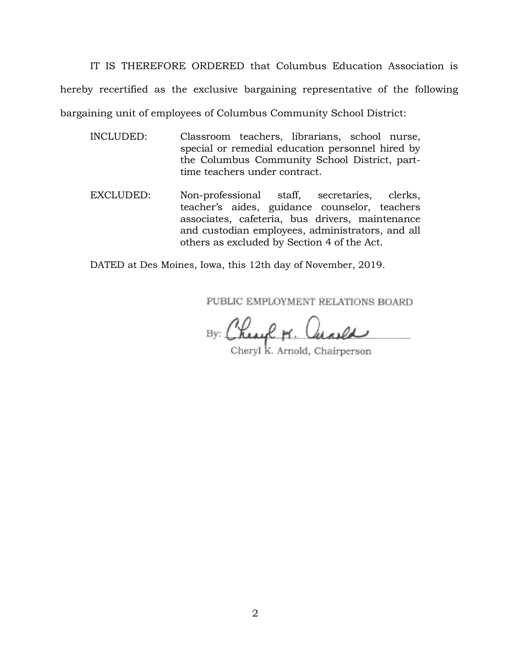IT IS THEREFORE ORDERED that Columbus Education Association is hereby recertified as the exclusive bargaining representative of the following bargaining unit of employees of Columbus Community School District:

- INCLUDED: Classroom teachers, librarians, school nurse, special or remedial education personnel hired by the Columbus Community School District, parttime teachers under contract.
- EXCLUDED: Non-professional staff, secretaries, clerks, teacher's aides, guidance counselor, teachers associates, cafeteria, bus drivers, maintenance and custodian employees, administrators, and all others as excluded by Section 4 of the Act.

DATED at Des Moines, Iowa, this 12th day of November, 2019.

PUBLIC EMPLOYMENT RELATIONS BOARD

By: Chesel M. Curela

Cheryl K. Arnold, Chairperson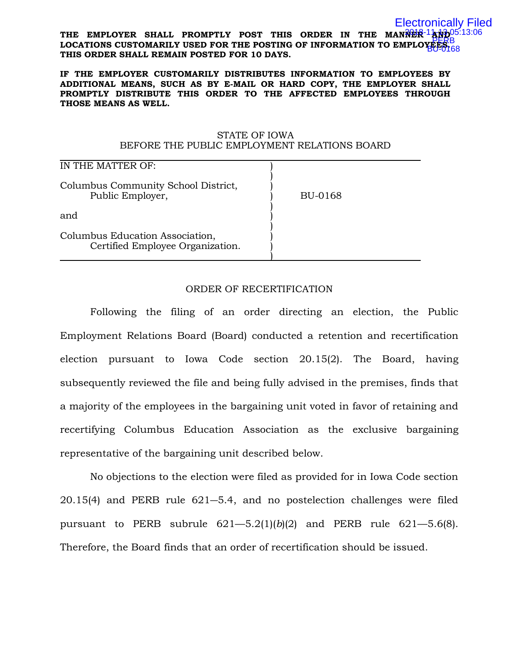#### THE EMPLOYER SHALL PROMPTLY POST THIS ORDER IN THE MANNER<sup>-1</sup>And<sup>05:13:06</sup> LOCATIONS CUSTOMARILY USED FOR THE POSTING OF INFORMATION TO EMPLOYEES. **THIS ORDER SHALL REMAIN POSTED FOR 10 DAYS.** Electronically Filed BU-0168

#### **IF THE EMPLOYER CUSTOMARILY DISTRIBUTES INFORMATION TO EMPLOYEES BY ADDITIONAL MEANS, SUCH AS BY E-MAIL OR HARD COPY, THE EMPLOYER SHALL PROMPTLY DISTRIBUTE THIS ORDER TO THE AFFECTED EMPLOYEES THROUGH THOSE MEANS AS WELL.**

### STATE OF IOWA BEFORE THE PUBLIC EMPLOYMENT RELATIONS BOARD

| IN THE MATTER OF:                                                   |         |
|---------------------------------------------------------------------|---------|
| Columbus Community School District,<br>Public Employer,             | BU-0168 |
| and                                                                 |         |
| Columbus Education Association,<br>Certified Employee Organization. |         |

## ORDER OF RECERTIFICATION

Following the filing of an order directing an election, the Public Employment Relations Board (Board) conducted a retention and recertification election pursuant to Iowa Code section 20.15(2). The Board, having subsequently reviewed the file and being fully advised in the premises, finds that a majority of the employees in the bargaining unit voted in favor of retaining and recertifying Columbus Education Association as the exclusive bargaining representative of the bargaining unit described below.

No objections to the election were filed as provided for in Iowa Code section 20.15(4) and PERB rule 621―5.4, and no postelection challenges were filed pursuant to PERB subrule 621—5.2(1)(*b*)(2) and PERB rule 621—5.6(8). Therefore, the Board finds that an order of recertification should be issued.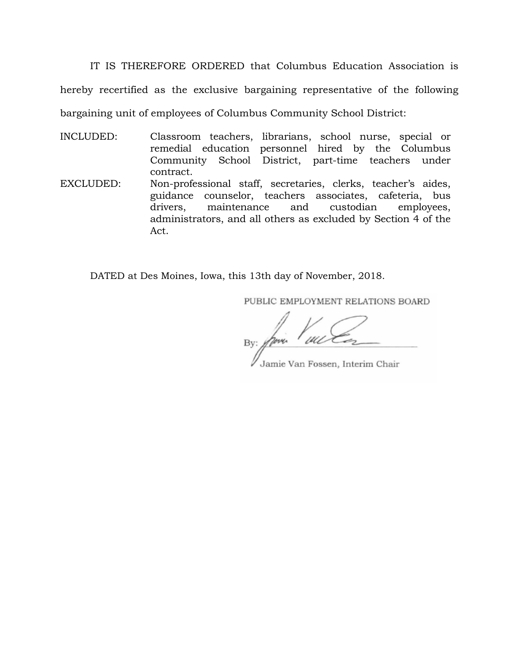IT IS THEREFORE ORDERED that Columbus Education Association is hereby recertified as the exclusive bargaining representative of the following bargaining unit of employees of Columbus Community School District:

INCLUDED: Classroom teachers, librarians, school nurse, special or remedial education personnel hired by the Columbus Community School District, part-time teachers under contract.

EXCLUDED: Non-professional staff, secretaries, clerks, teacher's aides, guidance counselor, teachers associates, cafeteria, bus drivers, maintenance and custodian employees, administrators, and all others as excluded by Section 4 of the Act.

DATED at Des Moines, Iowa, this 13th day of November, 2018.

PUBLIC EMPLOYMENT RELATIONS BOARD

By: fries

Jamie Van Fossen, Interim Chair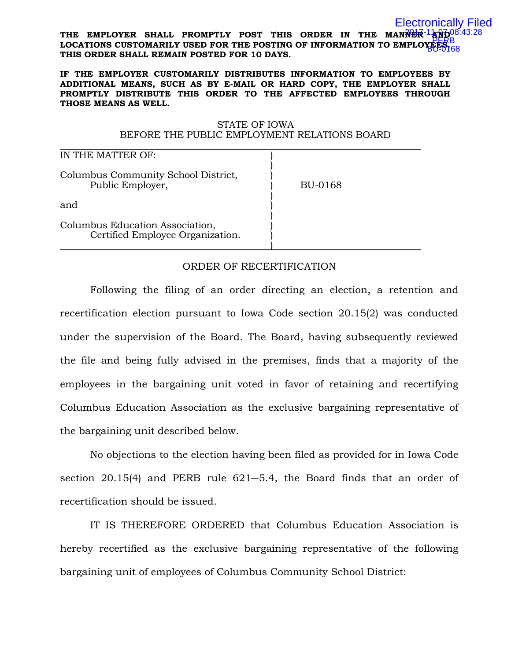#### THE EMPLOYER SHALL PROMPTLY POST THIS ORDER IN THE MANNER 1AND <sup>08:43:28</sup> LOCATIONS CUSTOMARILY USED FOR THE POSTING OF INFORMATION TO EMPLOYEES. **THIS ORDER SHALL REMAIN POSTED FOR 10 DAYS.** Electronically Filed BU-0168

#### **IF THE EMPLOYER CUSTOMARILY DISTRIBUTES INFORMATION TO EMPLOYEES BY ADDITIONAL MEANS, SUCH AS BY E-MAIL OR HARD COPY, THE EMPLOYER SHALL PROMPTLY DISTRIBUTE THIS ORDER TO THE AFFECTED EMPLOYEES THROUGH THOSE MEANS AS WELL.**

## STATE OF IOWA BEFORE THE PUBLIC EMPLOYMENT RELATIONS BOARD

| IN THE MATTER OF:                                                   |         |
|---------------------------------------------------------------------|---------|
| Columbus Community School District,<br>Public Employer,             | BU-0168 |
| and                                                                 |         |
| Columbus Education Association,<br>Certified Employee Organization. |         |

# ORDER OF RECERTIFICATION

Following the filing of an order directing an election, a retention and recertification election pursuant to Iowa Code section 20.15(2) was conducted under the supervision of the Board. The Board, having subsequently reviewed the file and being fully advised in the premises, finds that a majority of the employees in the bargaining unit voted in favor of retaining and recertifying Columbus Education Association as the exclusive bargaining representative of the bargaining unit described below.

No objections to the election having been filed as provided for in Iowa Code section 20.15(4) and PERB rule 621―5.4, the Board finds that an order of recertification should be issued.

IT IS THEREFORE ORDERED that Columbus Education Association is hereby recertified as the exclusive bargaining representative of the following bargaining unit of employees of Columbus Community School District: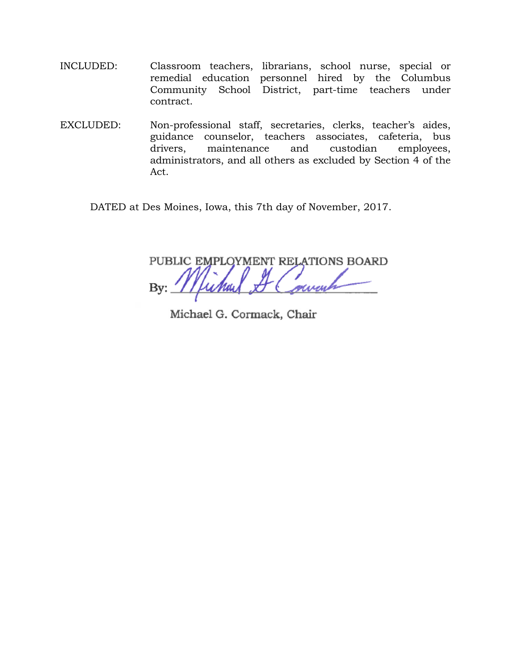- INCLUDED: Classroom teachers, librarians, school nurse, special or remedial education personnel hired by the Columbus Community School District, part-time teachers under contract.
- EXCLUDED: Non-professional staff, secretaries, clerks, teacher's aides, guidance counselor, teachers associates, cafeteria, bus drivers, maintenance and custodian employees, administrators, and all others as excluded by Section 4 of the Act.

DATED at Des Moines, Iowa, this 7th day of November, 2017.

PUBLIC EMPLOYMENT RELATIONS BOARD By:

Michael G. Cormack, Chair